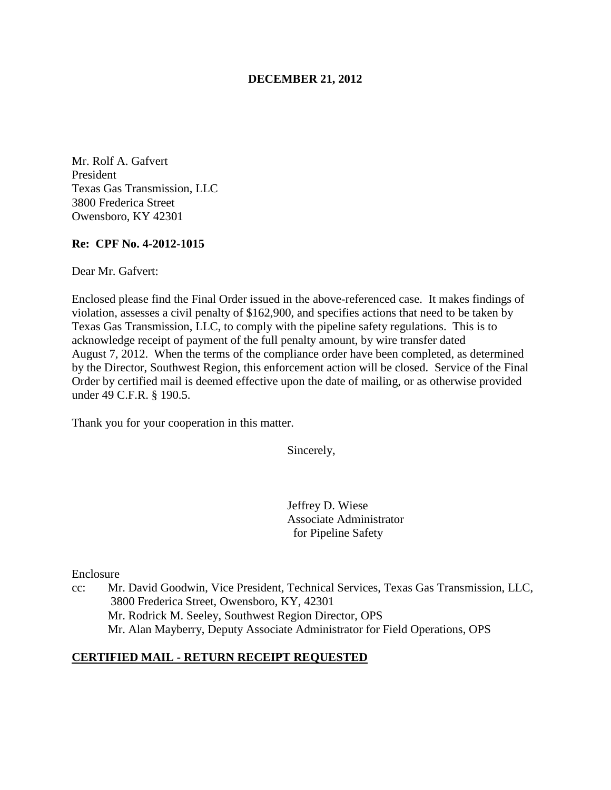### **DECEMBER 21, 2012**

Mr. Rolf A. Gafvert President Texas Gas Transmission, LLC 3800 Frederica Street Owensboro, KY 42301

### **Re: CPF No. 4-2012-1015**

Dear Mr. Gafvert:

Enclosed please find the Final Order issued in the above-referenced case. It makes findings of violation, assesses a civil penalty of \$162,900, and specifies actions that need to be taken by Texas Gas Transmission, LLC, to comply with the pipeline safety regulations. This is to acknowledge receipt of payment of the full penalty amount, by wire transfer dated August 7, 2012. When the terms of the compliance order have been completed, as determined by the Director, Southwest Region, this enforcement action will be closed. Service of the Final Order by certified mail is deemed effective upon the date of mailing, or as otherwise provided under 49 C.F.R. § 190.5.

Thank you for your cooperation in this matter.

Sincerely,

Jeffrey D. Wiese Associate Administrator for Pipeline Safety

Enclosure

cc: Mr. David Goodwin, Vice President, Technical Services, Texas Gas Transmission, LLC, 3800 Frederica Street, Owensboro, KY, 42301 Mr. Rodrick M. Seeley, Southwest Region Director, OPS Mr. Alan Mayberry, Deputy Associate Administrator for Field Operations, OPS

### **CERTIFIED MAIL - RETURN RECEIPT REQUESTED**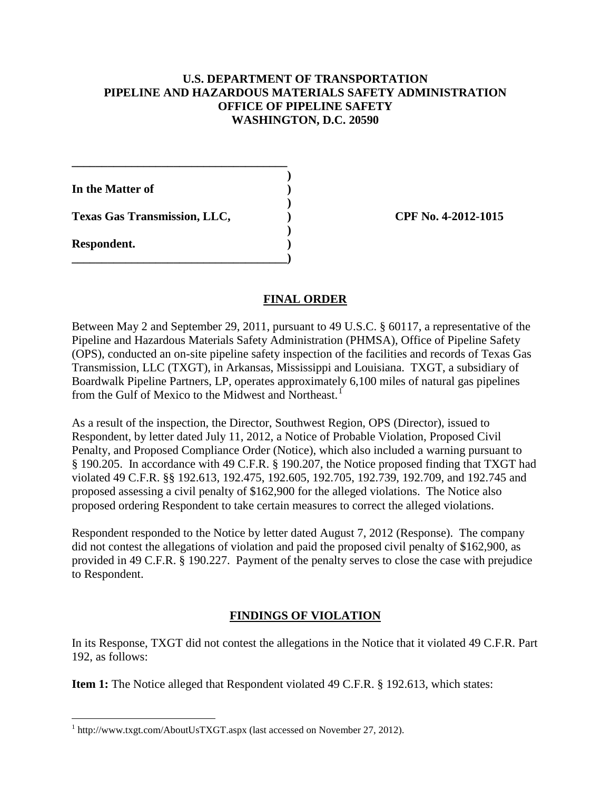## **U.S. DEPARTMENT OF TRANSPORTATION PIPELINE AND HAZARDOUS MATERIALS SAFETY ADMINISTRATION OFFICE OF PIPELINE SAFETY WASHINGTON, D.C. 20590**

**In the Matter of )** 

Texas Gas Transmission, LLC,  $C<sub>1</sub>$  (PF No. 4-2012-1015)

**\_\_\_\_\_\_\_\_\_\_\_\_\_\_\_\_\_\_\_\_\_\_\_\_\_\_\_\_\_\_\_\_\_\_\_\_ )** 

 **)** 

 **)** 

**\_\_\_\_\_\_\_\_\_\_\_\_\_\_\_\_\_\_\_\_\_\_\_\_\_\_\_\_\_\_\_\_\_\_\_\_)** 

**Respondent. )** 

 $\overline{a}$ 

## **FINAL ORDER**

Between May 2 and September 29, 2011, pursuant to 49 U.S.C. § 60117, a representative of the Pipeline and Hazardous Materials Safety Administration (PHMSA), Office of Pipeline Safety (OPS), conducted an on-site pipeline safety inspection of the facilities and records of Texas Gas Transmission, LLC (TXGT), in Arkansas, Mississippi and Louisiana. TXGT, a subsidiary of Boardwalk Pipeline Partners, LP, operates approximately 6,100 miles of natural gas pipelines from the Gulf of Mexico to the Midwest and Northeast.<sup>1</sup>

As a result of the inspection, the Director, Southwest Region, OPS (Director), issued to Respondent, by letter dated July 11, 2012, a Notice of Probable Violation, Proposed Civil Penalty, and Proposed Compliance Order (Notice), which also included a warning pursuant to § 190.205. In accordance with 49 C.F.R. § 190.207, the Notice proposed finding that TXGT had violated 49 C.F.R. §§ 192.613, 192.475, 192.605, 192.705, 192.739, 192.709, and 192.745 and proposed assessing a civil penalty of \$162,900 for the alleged violations. The Notice also proposed ordering Respondent to take certain measures to correct the alleged violations.

Respondent responded to the Notice by letter dated August 7, 2012 (Response). The company did not contest the allegations of violation and paid the proposed civil penalty of \$162,900, as provided in 49 C.F.R. § 190.227. Payment of the penalty serves to close the case with prejudice to Respondent.

# **FINDINGS OF VIOLATION**

In its Response, TXGT did not contest the allegations in the Notice that it violated 49 C.F.R. Part 192, as follows:

**Item 1:** The Notice alleged that Respondent violated 49 C.F.R. § 192.613, which states:

<sup>&</sup>lt;sup>1</sup> http://www.txgt.com/AboutUsTXGT.aspx (last accessed on November 27, 2012).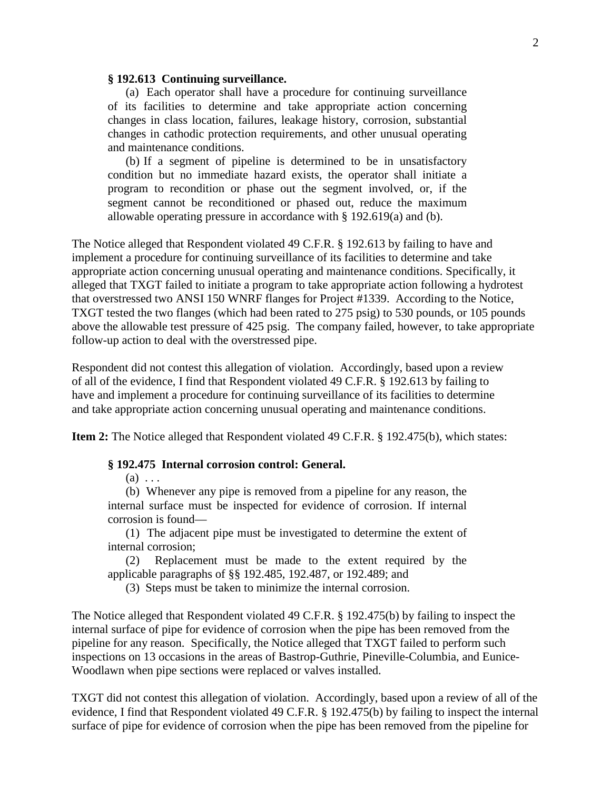#### **§ 192.613 Continuing surveillance.**

(a) Each operator shall have a procedure for continuing surveillance of its facilities to determine and take appropriate action concerning changes in class location, failures, leakage history, corrosion, substantial changes in cathodic protection requirements, and other unusual operating and maintenance conditions.

(b) If a segment of pipeline is determined to be in unsatisfactory condition but no immediate hazard exists, the operator shall initiate a program to recondition or phase out the segment involved, or, if the segment cannot be reconditioned or phased out, reduce the maximum allowable operating pressure in accordance with § 192.619(a) and (b).

The Notice alleged that Respondent violated 49 C.F.R. § 192.613 by failing to have and implement a procedure for continuing surveillance of its facilities to determine and take appropriate action concerning unusual operating and maintenance conditions. Specifically, it alleged that TXGT failed to initiate a program to take appropriate action following a hydrotest that overstressed two ANSI 150 WNRF flanges for Project #1339. According to the Notice, TXGT tested the two flanges (which had been rated to 275 psig) to 530 pounds, or 105 pounds above the allowable test pressure of 425 psig. The company failed, however, to take appropriate follow-up action to deal with the overstressed pipe.

Respondent did not contest this allegation of violation. Accordingly, based upon a review of all of the evidence, I find that Respondent violated 49 C.F.R. § 192.613 by failing to have and implement a procedure for continuing surveillance of its facilities to determine and take appropriate action concerning unusual operating and maintenance conditions.

**Item 2:** The Notice alleged that Respondent violated 49 C.F.R. § 192.475(b), which states:

#### **§ 192.475 Internal corrosion control: General.**

 $(a) \ldots$ 

(b) Whenever any pipe is removed from a pipeline for any reason, the internal surface must be inspected for evidence of corrosion. If internal corrosion is found—

(1) The adjacent pipe must be investigated to determine the extent of internal corrosion;

(2) Replacement must be made to the extent required by the applicable paragraphs of §§ 192.485, 192.487, or 192.489; and

(3) Steps must be taken to minimize the internal corrosion.

The Notice alleged that Respondent violated 49 C.F.R. § 192.475(b) by failing to inspect the internal surface of pipe for evidence of corrosion when the pipe has been removed from the pipeline for any reason. Specifically, the Notice alleged that TXGT failed to perform such inspections on 13 occasions in the areas of Bastrop-Guthrie, Pineville-Columbia, and Eunice-Woodlawn when pipe sections were replaced or valves installed.

TXGT did not contest this allegation of violation. Accordingly, based upon a review of all of the evidence, I find that Respondent violated 49 C.F.R. § 192.475(b) by failing to inspect the internal surface of pipe for evidence of corrosion when the pipe has been removed from the pipeline for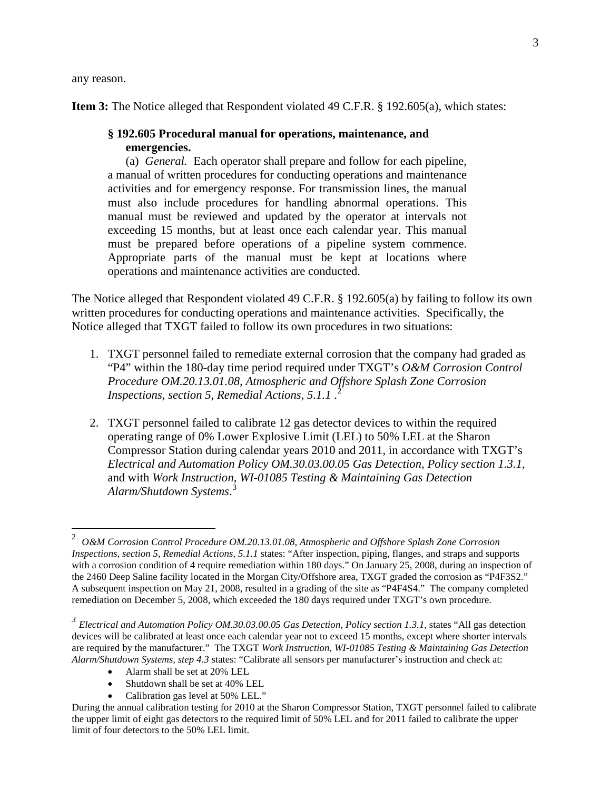any reason.

**Item 3:** The Notice alleged that Respondent violated 49 C.F.R. § 192.605(a), which states:

### **§ 192.605 Procedural manual for operations, maintenance, and emergencies.**

(a) *General.* Each operator shall prepare and follow for each pipeline, a manual of written procedures for conducting operations and maintenance activities and for emergency response. For transmission lines, the manual must also include procedures for handling abnormal operations. This manual must be reviewed and updated by the operator at intervals not exceeding 15 months, but at least once each calendar year. This manual must be prepared before operations of a pipeline system commence. Appropriate parts of the manual must be kept at locations where operations and maintenance activities are conducted.

The Notice alleged that Respondent violated 49 C.F.R. § 192.605(a) by failing to follow its own written procedures for conducting operations and maintenance activities. Specifically, the Notice alleged that TXGT failed to follow its own procedures in two situations:

- 1. TXGT personnel failed to remediate external corrosion that the company had graded as "P4" within the 180-day time period required under TXGT's *O&M Corrosion Control Procedure OM.20.13.01.08, Atmospheric and Offshore Splash Zone Corrosion Inspections, section 5, Remedial Actions, 5.1.1* . 2
- 2. TXGT personnel failed to calibrate 12 gas detector devices to within the required operating range of 0% Lower Explosive Limit (LEL) to 50% LEL at the Sharon Compressor Station during calendar years 2010 and 2011, in accordance with TXGT's *Electrical and Automation Policy OM.30.03.00.05 Gas Detection, Policy section 1.3.1*, and with *Work Instruction, WI-01085 Testing & Maintaining Gas Detection Alarm/Shutdown Systems*. 3

- Alarm shall be set at 20% LEL
- Shutdown shall be set at 40% LEL
- Calibration gas level at 50% LEL."

 $\frac{1}{2}$  *O&M Corrosion Control Procedure OM.20.13.01.08, Atmospheric and Offshore Splash Zone Corrosion Inspections, section 5, Remedial Actions, 5.1.1* states: "After inspection, piping, flanges, and straps and supports with a corrosion condition of 4 require remediation within 180 days." On January 25, 2008, during an inspection of the 2460 Deep Saline facility located in the Morgan City/Offshore area, TXGT graded the corrosion as "P4F3S2." A subsequent inspection on May 21, 2008, resulted in a grading of the site as "P4F4S4." The company completed remediation on December 5, 2008, which exceeded the 180 days required under TXGT's own procedure.

*<sup>3</sup> Electrical and Automation Policy OM.30.03.00.05 Gas Detection, Policy section 1.3.1,* states "All gas detection devices will be calibrated at least once each calendar year not to exceed 15 months, except where shorter intervals are required by the manufacturer." The TXGT *Work Instruction, WI-01085 Testing & Maintaining Gas Detection Alarm/Shutdown Systems, step 4.3* states: "Calibrate all sensors per manufacturer's instruction and check at:

During the annual calibration testing for 2010 at the Sharon Compressor Station, TXGT personnel failed to calibrate the upper limit of eight gas detectors to the required limit of 50% LEL and for 2011 failed to calibrate the upper limit of four detectors to the 50% LEL limit.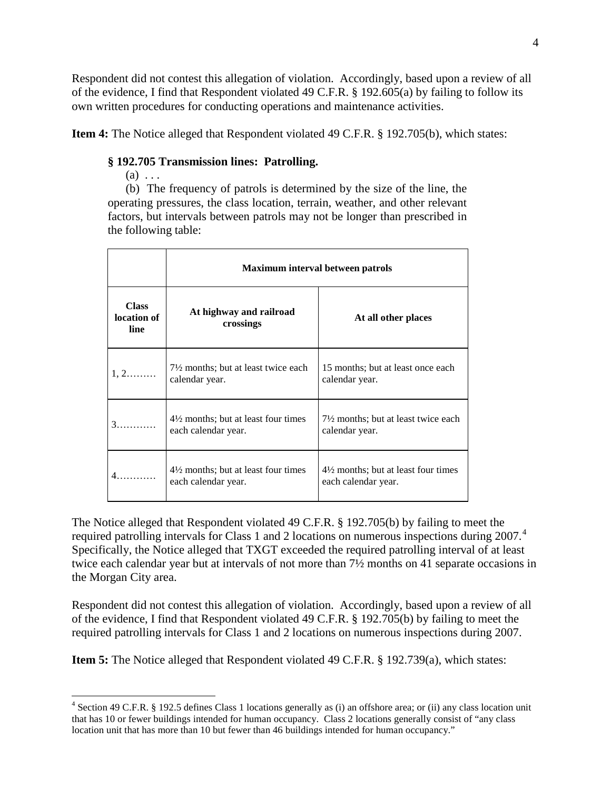Respondent did not contest this allegation of violation. Accordingly, based upon a review of all of the evidence, I find that Respondent violated 49 C.F.R. § 192.605(a) by failing to follow its own written procedures for conducting operations and maintenance activities.

**Item 4:** The Notice alleged that Respondent violated 49 C.F.R. § 192.705(b), which states:

## **§ 192.705 Transmission lines: Patrolling.**

 $(a) \ldots$ 

 $\overline{a}$ 

(b) The frequency of patrols is determined by the size of the line, the operating pressures, the class location, terrain, weather, and other relevant factors, but intervals between patrols may not be longer than prescribed in the following table:

|                              | Maximum interval between patrols                                      |                                                                       |
|------------------------------|-----------------------------------------------------------------------|-----------------------------------------------------------------------|
| Class<br>location of<br>line | At highway and railroad<br>crossings                                  | At all other places                                                   |
| $1, 2, \ldots, \ldots$       | $7\frac{1}{2}$ months; but at least twice each<br>calendar year.      | 15 months; but at least once each<br>calendar year.                   |
|                              | $4\frac{1}{2}$ months; but at least four times<br>each calendar year. | $7\frac{1}{2}$ months; but at least twice each<br>calendar year.      |
| .                            | $4\frac{1}{2}$ months; but at least four times<br>each calendar year. | $4\frac{1}{2}$ months; but at least four times<br>each calendar year. |

The Notice alleged that Respondent violated 49 C.F.R. § 192.705(b) by failing to meet the required patrolling intervals for Class 1 and 2 locations on numerous inspections during 2007.<sup>4</sup> Specifically, the Notice alleged that TXGT exceeded the required patrolling interval of at least twice each calendar year but at intervals of not more than  $7\frac{1}{2}$  months on 41 separate occasions in the Morgan City area.

Respondent did not contest this allegation of violation. Accordingly, based upon a review of all of the evidence, I find that Respondent violated 49 C.F.R. § 192.705(b) by failing to meet the required patrolling intervals for Class 1 and 2 locations on numerous inspections during 2007.

**Item 5:** The Notice alleged that Respondent violated 49 C.F.R. § 192.739(a), which states:

<sup>4</sup> Section 49 C.F.R. § 192.5 defines Class 1 locations generally as (i) an offshore area; or (ii) any class location unit that has 10 or fewer buildings intended for human occupancy. Class 2 locations generally consist of "any class location unit that has more than 10 but fewer than 46 buildings intended for human occupancy."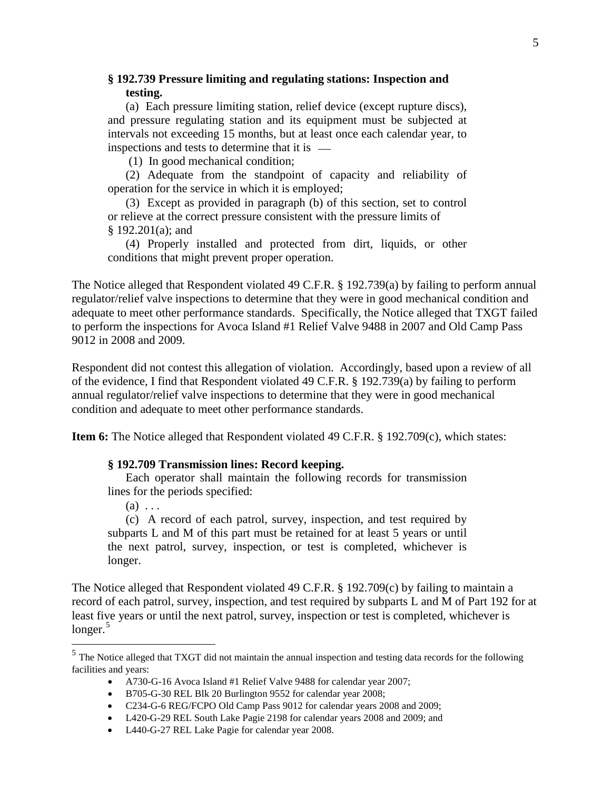## **§ 192.739 Pressure limiting and regulating stations: Inspection and testing.**

(a) Each pressure limiting station, relief device (except rupture discs), and pressure regulating station and its equipment must be subjected at intervals not exceeding 15 months, but at least once each calendar year, to inspections and tests to determine that it is

(1) In good mechanical condition;

(2) Adequate from the standpoint of capacity and reliability of operation for the service in which it is employed;

(3) Except as provided in paragraph (b) of this section, set to control or relieve at the correct pressure consistent with the pressure limits of § 192.201(a); and

(4) Properly installed and protected from dirt, liquids, or other conditions that might prevent proper operation.

The Notice alleged that Respondent violated 49 C.F.R. § 192.739(a) by failing to perform annual regulator/relief valve inspections to determine that they were in good mechanical condition and adequate to meet other performance standards. Specifically, the Notice alleged that TXGT failed to perform the inspections for Avoca Island #1 Relief Valve 9488 in 2007 and Old Camp Pass 9012 in 2008 and 2009.

Respondent did not contest this allegation of violation. Accordingly, based upon a review of all of the evidence, I find that Respondent violated 49 C.F.R. § 192.739(a) by failing to perform annual regulator/relief valve inspections to determine that they were in good mechanical condition and adequate to meet other performance standards.

**Item 6:** The Notice alleged that Respondent violated 49 C.F.R. § 192.709(c), which states:

#### **§ 192.709 Transmission lines: Record keeping.**

Each operator shall maintain the following records for transmission lines for the periods specified:

 $(a) \ldots$ 

 $\overline{a}$ 

(c) A record of each patrol, survey, inspection, and test required by subparts L and M of this part must be retained for at least 5 years or until the next patrol, survey, inspection, or test is completed, whichever is longer.

The Notice alleged that Respondent violated 49 C.F.R. § 192.709(c) by failing to maintain a record of each patrol, survey, inspection, and test required by subparts L and M of Part 192 for at least five years or until the next patrol, survey, inspection or test is completed, whichever is longer.<sup>5</sup>

• L420-G-29 REL South Lake Pagie 2198 for calendar years 2008 and 2009; and

<sup>5</sup> The Notice alleged that TXGT did not maintain the annual inspection and testing data records for the following facilities and years:

<sup>•</sup> A730-G-16 Avoca Island #1 Relief Valve 9488 for calendar year 2007;

<sup>•</sup> B705-G-30 REL Blk 20 Burlington 9552 for calendar year 2008;

<sup>•</sup> C234-G-6 REG/FCPO Old Camp Pass 9012 for calendar years 2008 and 2009;

<sup>•</sup> L440-G-27 REL Lake Pagie for calendar year 2008.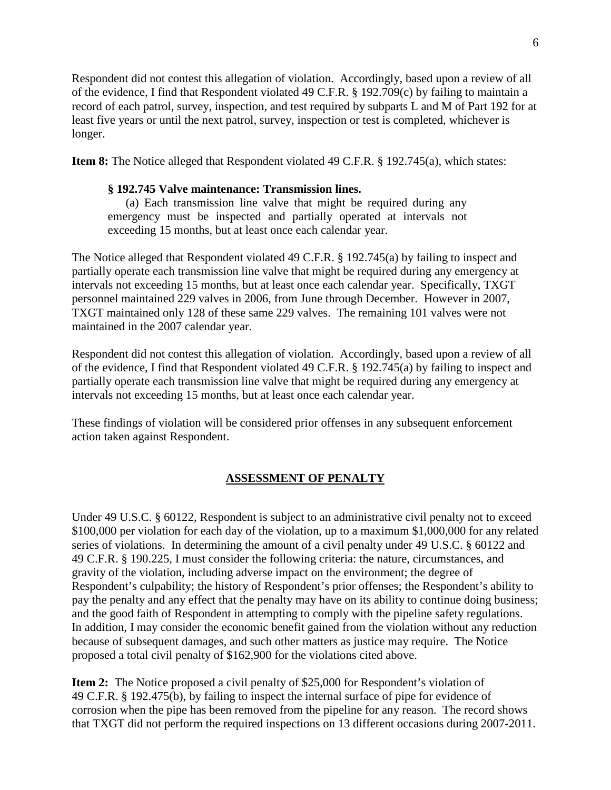Respondent did not contest this allegation of violation. Accordingly, based upon a review of all of the evidence, I find that Respondent violated 49 C.F.R. § 192.709(c) by failing to maintain a record of each patrol, survey, inspection, and test required by subparts L and M of Part 192 for at least five years or until the next patrol, survey, inspection or test is completed, whichever is longer.

**Item 8:** The Notice alleged that Respondent violated 49 C.F.R. § 192.745(a), which states:

#### **§ 192.745 Valve maintenance: Transmission lines.**

(a) Each transmission line valve that might be required during any emergency must be inspected and partially operated at intervals not exceeding 15 months, but at least once each calendar year.

The Notice alleged that Respondent violated 49 C.F.R. § 192.745(a) by failing to inspect and partially operate each transmission line valve that might be required during any emergency at intervals not exceeding 15 months, but at least once each calendar year. Specifically, TXGT personnel maintained 229 valves in 2006, from June through December. However in 2007, TXGT maintained only 128 of these same 229 valves. The remaining 101 valves were not maintained in the 2007 calendar year.

Respondent did not contest this allegation of violation. Accordingly, based upon a review of all of the evidence, I find that Respondent violated 49 C.F.R. § 192.745(a) by failing to inspect and partially operate each transmission line valve that might be required during any emergency at intervals not exceeding 15 months, but at least once each calendar year.

These findings of violation will be considered prior offenses in any subsequent enforcement action taken against Respondent.

### **ASSESSMENT OF PENALTY**

Under 49 U.S.C. § 60122, Respondent is subject to an administrative civil penalty not to exceed \$100,000 per violation for each day of the violation, up to a maximum \$1,000,000 for any related series of violations. In determining the amount of a civil penalty under 49 U.S.C. § 60122 and 49 C.F.R. § 190.225, I must consider the following criteria: the nature, circumstances, and gravity of the violation, including adverse impact on the environment; the degree of Respondent's culpability; the history of Respondent's prior offenses; the Respondent's ability to pay the penalty and any effect that the penalty may have on its ability to continue doing business; and the good faith of Respondent in attempting to comply with the pipeline safety regulations. In addition, I may consider the economic benefit gained from the violation without any reduction because of subsequent damages, and such other matters as justice may require. The Notice proposed a total civil penalty of \$162,900 for the violations cited above.

**Item 2:** The Notice proposed a civil penalty of \$25,000 for Respondent's violation of 49 C.F.R. § 192.475(b), by failing to inspect the internal surface of pipe for evidence of corrosion when the pipe has been removed from the pipeline for any reason. The record shows that TXGT did not perform the required inspections on 13 different occasions during 2007-2011.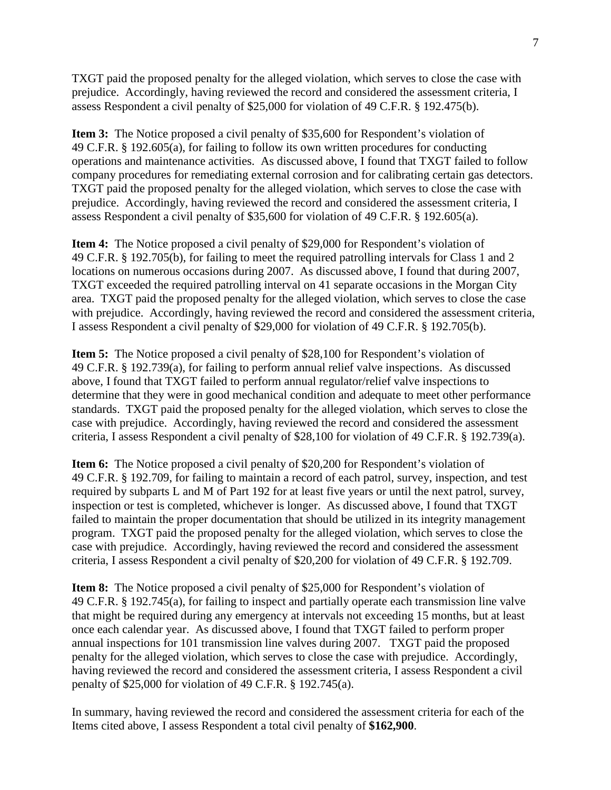TXGT paid the proposed penalty for the alleged violation, which serves to close the case with prejudice. Accordingly, having reviewed the record and considered the assessment criteria, I assess Respondent a civil penalty of \$25,000 for violation of 49 C.F.R. § 192.475(b).

**Item 3:** The Notice proposed a civil penalty of \$35,600 for Respondent's violation of 49 C.F.R. § 192.605(a), for failing to follow its own written procedures for conducting operations and maintenance activities. As discussed above, I found that TXGT failed to follow company procedures for remediating external corrosion and for calibrating certain gas detectors. TXGT paid the proposed penalty for the alleged violation, which serves to close the case with prejudice. Accordingly, having reviewed the record and considered the assessment criteria, I assess Respondent a civil penalty of \$35,600 for violation of 49 C.F.R. § 192.605(a).

**Item 4:** The Notice proposed a civil penalty of \$29,000 for Respondent's violation of 49 C.F.R. § 192.705(b), for failing to meet the required patrolling intervals for Class 1 and 2 locations on numerous occasions during 2007. As discussed above, I found that during 2007, TXGT exceeded the required patrolling interval on 41 separate occasions in the Morgan City area. TXGT paid the proposed penalty for the alleged violation, which serves to close the case with prejudice. Accordingly, having reviewed the record and considered the assessment criteria, I assess Respondent a civil penalty of \$29,000 for violation of 49 C.F.R. § 192.705(b).

**Item 5:** The Notice proposed a civil penalty of \$28,100 for Respondent's violation of 49 C.F.R. § 192.739(a), for failing to perform annual relief valve inspections. As discussed above, I found that TXGT failed to perform annual regulator/relief valve inspections to determine that they were in good mechanical condition and adequate to meet other performance standards. TXGT paid the proposed penalty for the alleged violation, which serves to close the case with prejudice. Accordingly, having reviewed the record and considered the assessment criteria, I assess Respondent a civil penalty of \$28,100 for violation of 49 C.F.R. § 192.739(a).

**Item 6:** The Notice proposed a civil penalty of \$20,200 for Respondent's violation of 49 C.F.R. § 192.709, for failing to maintain a record of each patrol, survey, inspection, and test required by subparts L and M of Part 192 for at least five years or until the next patrol, survey, inspection or test is completed, whichever is longer. As discussed above, I found that TXGT failed to maintain the proper documentation that should be utilized in its integrity management program. TXGT paid the proposed penalty for the alleged violation, which serves to close the case with prejudice. Accordingly, having reviewed the record and considered the assessment criteria, I assess Respondent a civil penalty of \$20,200 for violation of 49 C.F.R. § 192.709.

**Item 8:** The Notice proposed a civil penalty of \$25,000 for Respondent's violation of 49 C.F.R. § 192.745(a), for failing to inspect and partially operate each transmission line valve that might be required during any emergency at intervals not exceeding 15 months, but at least once each calendar year. As discussed above, I found that TXGT failed to perform proper annual inspections for 101 transmission line valves during 2007. TXGT paid the proposed penalty for the alleged violation, which serves to close the case with prejudice. Accordingly, having reviewed the record and considered the assessment criteria, I assess Respondent a civil penalty of \$25,000 for violation of 49 C.F.R. § 192.745(a).

In summary, having reviewed the record and considered the assessment criteria for each of the Items cited above, I assess Respondent a total civil penalty of **\$162,900**.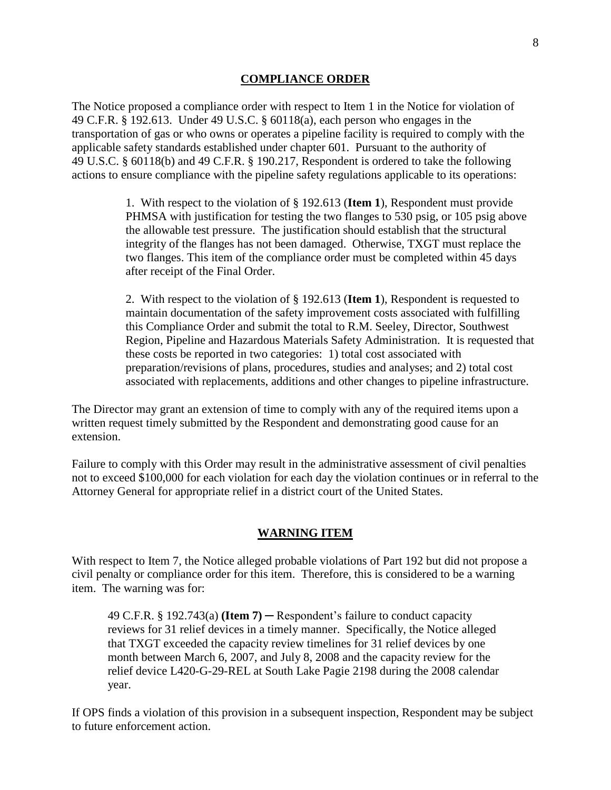#### **COMPLIANCE ORDER**

The Notice proposed a compliance order with respect to Item 1 in the Notice for violation of 49 C.F.R. § 192.613. Under 49 U.S.C. § 60118(a), each person who engages in the transportation of gas or who owns or operates a pipeline facility is required to comply with the applicable safety standards established under chapter 601. Pursuant to the authority of 49 U.S.C. § 60118(b) and 49 C.F.R. § 190.217, Respondent is ordered to take the following actions to ensure compliance with the pipeline safety regulations applicable to its operations:

> 1. With respect to the violation of § 192.613 (**Item 1**), Respondent must provide PHMSA with justification for testing the two flanges to 530 psig, or 105 psig above the allowable test pressure. The justification should establish that the structural integrity of the flanges has not been damaged. Otherwise, TXGT must replace the two flanges. This item of the compliance order must be completed within 45 days after receipt of the Final Order.

2. With respect to the violation of § 192.613 (**Item 1**), Respondent is requested to maintain documentation of the safety improvement costs associated with fulfilling this Compliance Order and submit the total to R.M. Seeley, Director, Southwest Region, Pipeline and Hazardous Materials Safety Administration. It is requested that these costs be reported in two categories: 1) total cost associated with preparation/revisions of plans, procedures, studies and analyses; and 2) total cost associated with replacements, additions and other changes to pipeline infrastructure.

The Director may grant an extension of time to comply with any of the required items upon a written request timely submitted by the Respondent and demonstrating good cause for an extension.

Failure to comply with this Order may result in the administrative assessment of civil penalties not to exceed \$100,000 for each violation for each day the violation continues or in referral to the Attorney General for appropriate relief in a district court of the United States.

#### **WARNING ITEM**

With respect to Item 7, the Notice alleged probable violations of Part 192 but did not propose a civil penalty or compliance order for this item. Therefore, this is considered to be a warning item. The warning was for:

49 C.F.R. § 192.743(a) **(Item 7)** ─ Respondent's failure to conduct capacity reviews for 31 relief devices in a timely manner. Specifically, the Notice alleged that TXGT exceeded the capacity review timelines for 31 relief devices by one month between March 6, 2007, and July 8, 2008 and the capacity review for the relief device L420-G-29-REL at South Lake Pagie 2198 during the 2008 calendar year.

If OPS finds a violation of this provision in a subsequent inspection, Respondent may be subject to future enforcement action.